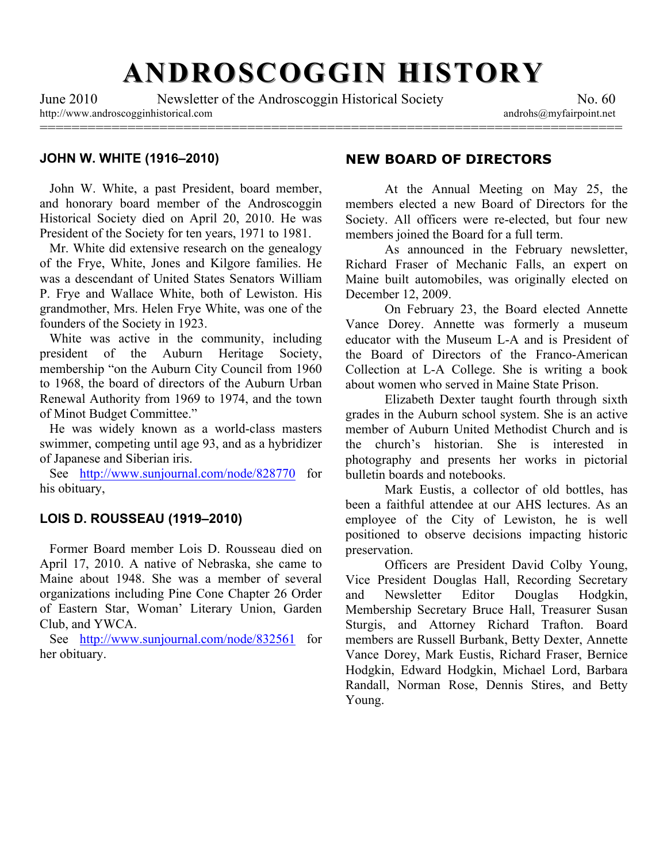# **ANDROSCOGGIN HISTORY ANDROSCOGGIN HISTORY**

=========================================================================

June 2010 Newsletter of the Androscoggin Historical Society No. 60 http://www.androscogginhistorical.com androhs@myfairpoint.net

#### **JOHN W. WHITE (1916–2010)**

 John W. White, a past President, board member, and honorary board member of the Androscoggin Historical Society died on April 20, 2010. He was President of the Society for ten years, 1971 to 1981.

 Mr. White did extensive research on the genealogy of the Frye, White, Jones and Kilgore families. He was a descendant of United States Senators William P. Frye and Wallace White, both of Lewiston. His grandmother, Mrs. Helen Frye White, was one of the founders of the Society in 1923.

 White was active in the community, including president of the Auburn Heritage Society, membership "on the Auburn City Council from 1960 to 1968, the board of directors of the Auburn Urban Renewal Authority from 1969 to 1974, and the town of Minot Budget Committee."

 He was widely known as a world-class masters swimmer, competing until age 93, and as a hybridizer of Japanese and Siberian iris.

 See http://www.sunjournal.com/node/828770 for his obituary,

## **LOIS D. ROUSSEAU (1919–2010)**

 Former Board member Lois D. Rousseau died on April 17, 2010. A native of Nebraska, she came to Maine about 1948. She was a member of several organizations including Pine Cone Chapter 26 Order of Eastern Star, Woman' Literary Union, Garden Club, and YWCA.

See http://www.sunjournal.com/node/832561 for her obituary.

## **NEW BOARD OF DIRECTORS**

At the Annual Meeting on May 25, the members elected a new Board of Directors for the Society. All officers were re-elected, but four new members joined the Board for a full term.

As announced in the February newsletter, Richard Fraser of Mechanic Falls, an expert on Maine built automobiles, was originally elected on December 12, 2009.

On February 23, the Board elected Annette Vance Dorey. Annette was formerly a museum educator with the Museum L-A and is President of the Board of Directors of the Franco-American Collection at L-A College. She is writing a book about women who served in Maine State Prison.

Elizabeth Dexter taught fourth through sixth grades in the Auburn school system. She is an active member of Auburn United Methodist Church and is the church's historian. She is interested in photography and presents her works in pictorial bulletin boards and notebooks.

Mark Eustis, a collector of old bottles, has been a faithful attendee at our AHS lectures. As an employee of the City of Lewiston, he is well positioned to observe decisions impacting historic preservation.

Officers are President David Colby Young, Vice President Douglas Hall, Recording Secretary and Newsletter Editor Douglas Hodgkin, Membership Secretary Bruce Hall, Treasurer Susan Sturgis, and Attorney Richard Trafton. Board members are Russell Burbank, Betty Dexter, Annette Vance Dorey, Mark Eustis, Richard Fraser, Bernice Hodgkin, Edward Hodgkin, Michael Lord, Barbara Randall, Norman Rose, Dennis Stires, and Betty Young.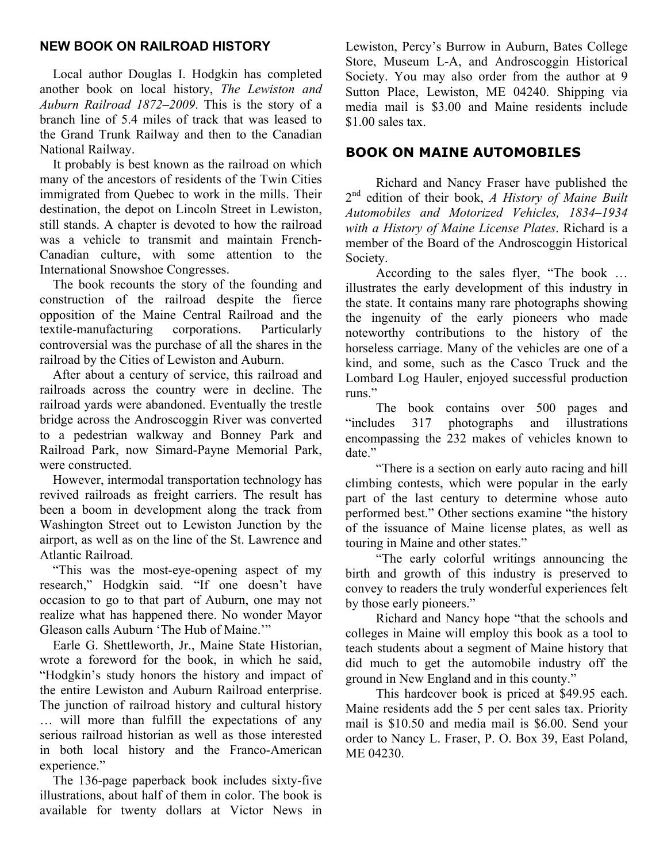## **NEW BOOK ON RAILROAD HISTORY**

 Local author Douglas I. Hodgkin has completed another book on local history, *The Lewiston and Auburn Railroad 1872–2009*. This is the story of a branch line of 5.4 miles of track that was leased to the Grand Trunk Railway and then to the Canadian National Railway.

 It probably is best known as the railroad on which many of the ancestors of residents of the Twin Cities immigrated from Quebec to work in the mills. Their destination, the depot on Lincoln Street in Lewiston, still stands. A chapter is devoted to how the railroad was a vehicle to transmit and maintain French-Canadian culture, with some attention to the International Snowshoe Congresses.

 The book recounts the story of the founding and construction of the railroad despite the fierce opposition of the Maine Central Railroad and the textile-manufacturing corporations. Particularly controversial was the purchase of all the shares in the railroad by the Cities of Lewiston and Auburn.

 After about a century of service, this railroad and railroads across the country were in decline. The railroad yards were abandoned. Eventually the trestle bridge across the Androscoggin River was converted to a pedestrian walkway and Bonney Park and Railroad Park, now Simard-Payne Memorial Park, were constructed.

 However, intermodal transportation technology has revived railroads as freight carriers. The result has been a boom in development along the track from Washington Street out to Lewiston Junction by the airport, as well as on the line of the St. Lawrence and Atlantic Railroad.

 "This was the most-eye-opening aspect of my research," Hodgkin said. "If one doesn't have occasion to go to that part of Auburn, one may not realize what has happened there. No wonder Mayor Gleason calls Auburn 'The Hub of Maine.'"

 Earle G. Shettleworth, Jr., Maine State Historian, wrote a foreword for the book, in which he said, "Hodgkin's study honors the history and impact of the entire Lewiston and Auburn Railroad enterprise. The junction of railroad history and cultural history … will more than fulfill the expectations of any serious railroad historian as well as those interested in both local history and the Franco-American experience."

 The 136-page paperback book includes sixty-five illustrations, about half of them in color. The book is available for twenty dollars at Victor News in Lewiston, Percy's Burrow in Auburn, Bates College Store, Museum L-A, and Androscoggin Historical Society. You may also order from the author at 9 Sutton Place, Lewiston, ME 04240. Shipping via media mail is \$3.00 and Maine residents include \$1.00 sales tax.

## **BOOK ON MAINE AUTOMOBILES**

Richard and Nancy Fraser have published the 2nd edition of their book, *A History of Maine Built Automobiles and Motorized Vehicles, 1834–1934 with a History of Maine License Plates*. Richard is a member of the Board of the Androscoggin Historical Society.

According to the sales flyer, "The book … illustrates the early development of this industry in the state. It contains many rare photographs showing the ingenuity of the early pioneers who made noteworthy contributions to the history of the horseless carriage. Many of the vehicles are one of a kind, and some, such as the Casco Truck and the Lombard Log Hauler, enjoyed successful production runs."

The book contains over 500 pages and "includes 317 photographs and illustrations encompassing the 232 makes of vehicles known to date."

"There is a section on early auto racing and hill climbing contests, which were popular in the early part of the last century to determine whose auto performed best." Other sections examine "the history of the issuance of Maine license plates, as well as touring in Maine and other states."

"The early colorful writings announcing the birth and growth of this industry is preserved to convey to readers the truly wonderful experiences felt by those early pioneers."

Richard and Nancy hope "that the schools and colleges in Maine will employ this book as a tool to teach students about a segment of Maine history that did much to get the automobile industry off the ground in New England and in this county."

This hardcover book is priced at \$49.95 each. Maine residents add the 5 per cent sales tax. Priority mail is \$10.50 and media mail is \$6.00. Send your order to Nancy L. Fraser, P. O. Box 39, East Poland, ME 04230.